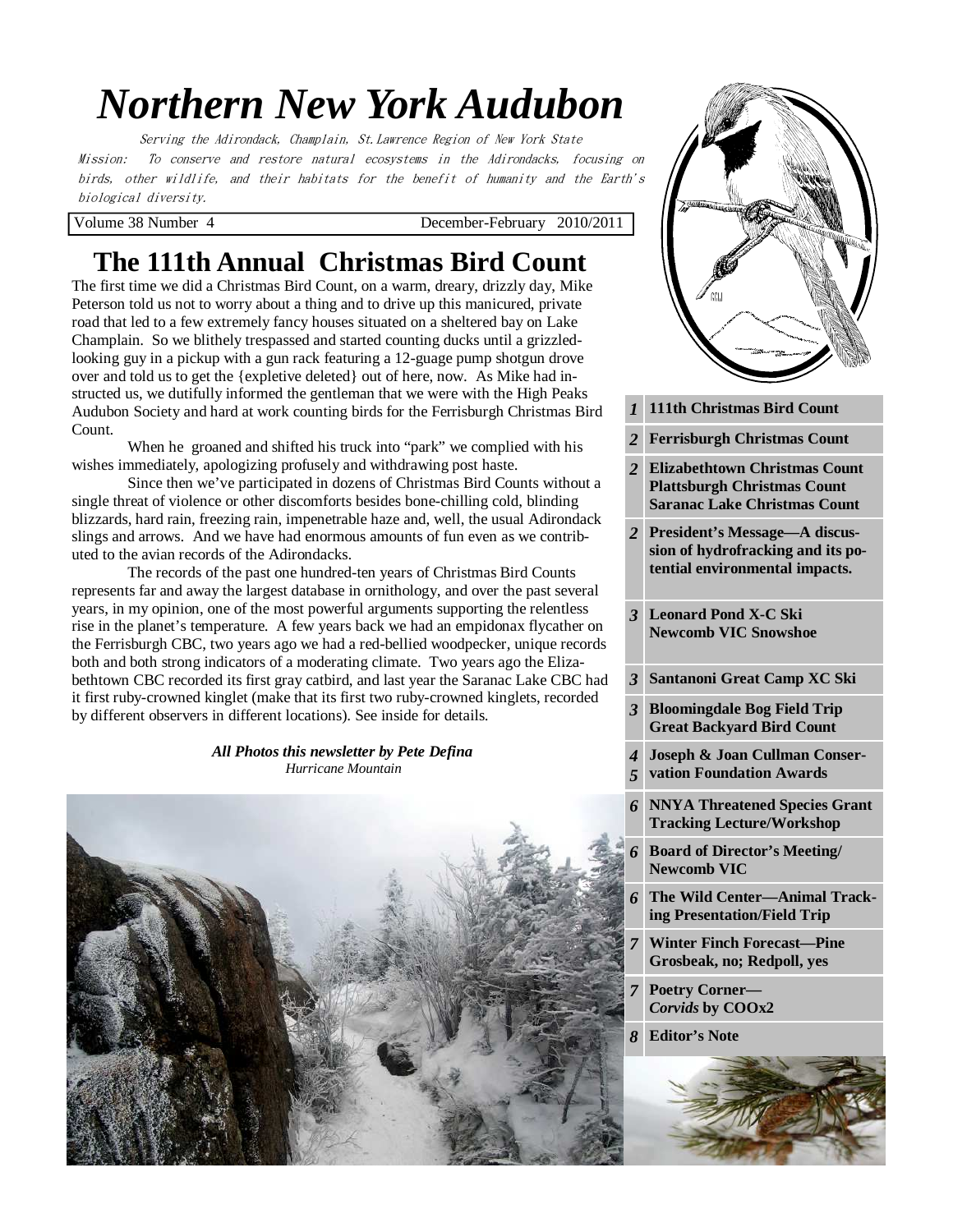# *Northern New York Audubon*

Serving the Adirondack, Champlain, St.Lawrence Region of New York State Mission: To conserve and restore natural ecosystems in the Adirondacks, focusing on birds, other wildlife, and their habitats for the benefit of humanity and the Earth's biological diversity.

Volume 38 Number 4 December-February 2010/2011

# **The 111th Annual Christmas Bird Count**

The first time we did a Christmas Bird Count, on a warm, dreary, drizzly day, Mike Peterson told us not to worry about a thing and to drive up this manicured, private road that led to a few extremely fancy houses situated on a sheltered bay on Lake Champlain. So we blithely trespassed and started counting ducks until a grizzledlooking guy in a pickup with a gun rack featuring a 12-guage pump shotgun drove over and told us to get the {expletive deleted} out of here, now. As Mike had instructed us, we dutifully informed the gentleman that we were with the High Peaks Audubon Society and hard at work counting birds for the Ferrisburgh Christmas Bird Count.

 When he groaned and shifted his truck into "park" we complied with his wishes immediately, apologizing profusely and withdrawing post haste.

 Since then we've participated in dozens of Christmas Bird Counts without a single threat of violence or other discomforts besides bone-chilling cold, blinding blizzards, hard rain, freezing rain, impenetrable haze and, well, the usual Adirondack slings and arrows. And we have had enormous amounts of fun even as we contributed to the avian records of the Adirondacks.

 The records of the past one hundred-ten years of Christmas Bird Counts represents far and away the largest database in ornithology, and over the past several years, in my opinion, one of the most powerful arguments supporting the relentless rise in the planet's temperature. A few years back we had an empidonax flycather on the Ferrisburgh CBC, two years ago we had a red-bellied woodpecker, unique records both and both strong indicators of a moderating climate. Two years ago the Elizabethtown CBC recorded its first gray catbird, and last year the Saranac Lake CBC had it first ruby-crowned kinglet (make that its first two ruby-crowned kinglets, recorded by different observers in different locations). See inside for details.

#### *All Photos this newsletter by Pete Defina Hurricane Mountain*



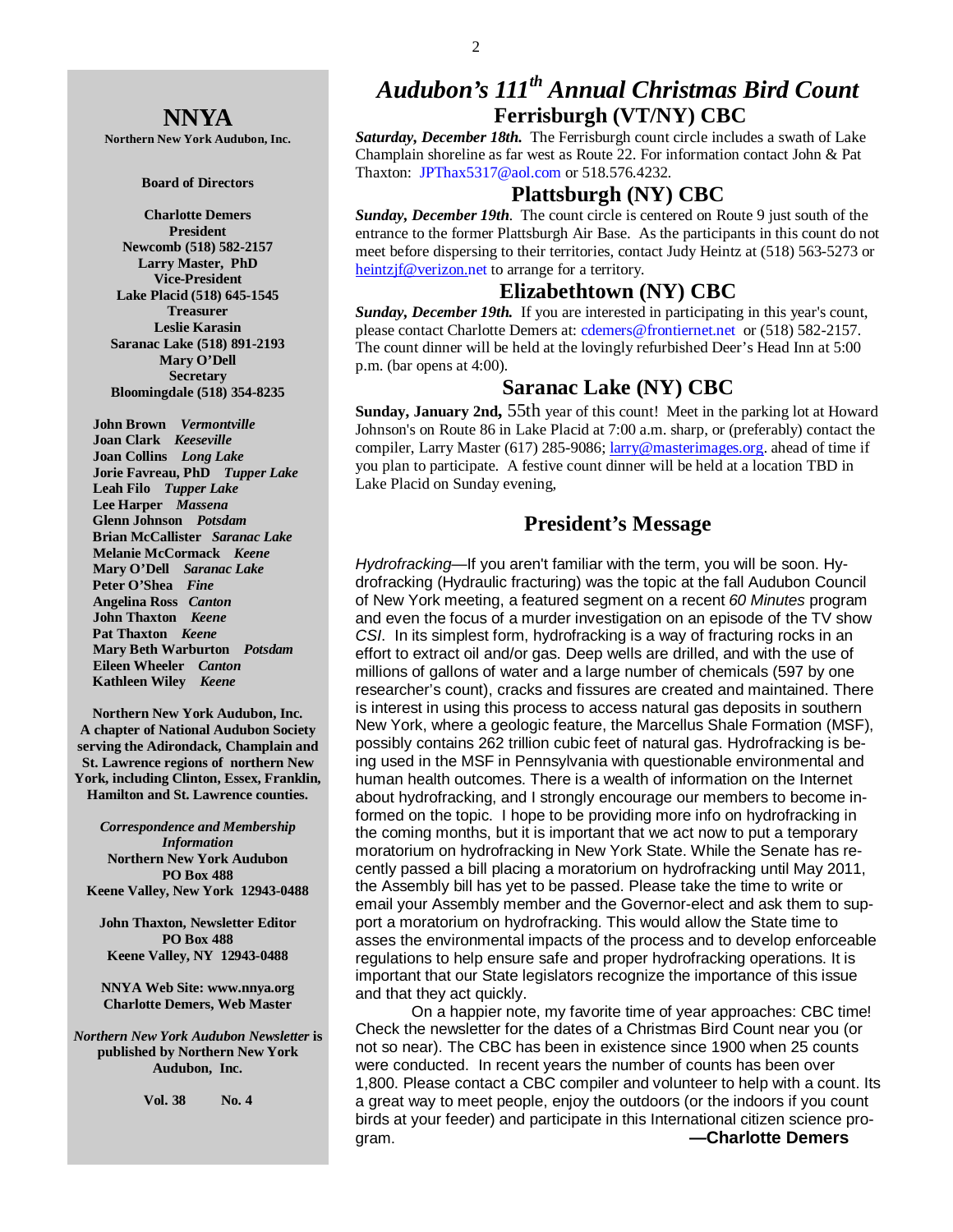## **NNYA**

**Northern New York Audubon, Inc.** 

#### **Board of Directors**

**Charlotte Demers President Newcomb (518) 582-2157 Larry Master, PhD Vice-President Lake Placid (518) 645-1545 Treasurer Leslie Karasin Saranac Lake (518) 891-2193 Mary O'Dell Secretary Bloomingdale (518) 354-8235** 

 **John Brown** *Vermontville*  **Joan Clark** *Keeseville*  **Joan Collins** *Long Lake*   **Jorie Favreau, PhD** *Tupper Lake*  **Leah Filo** *Tupper Lake*  **Lee Harper** *Massena*   **Glenn Johnson** *Potsdam*   **Brian McCallister** *Saranac Lake*   **Melanie McCormack** *Keene*   **Mary O'Dell** *Saranac Lake*  **Peter O'Shea** *Fine*   **Angelina Ross** *Canton* **John Thaxton** *Keene* **Pat Thaxton** *Keene*   **Mary Beth Warburton** *Potsdam*   **Eileen Wheeler** *Canton* **Kathleen Wiley** *Keene* 

**Northern New York Audubon, Inc. A chapter of National Audubon Society serving the Adirondack, Champlain and St. Lawrence regions of northern New York, including Clinton, Essex, Franklin, Hamilton and St. Lawrence counties.** 

*Correspondence and Membership Information* **Northern New York Audubon PO Box 488 Keene Valley, New York 12943-0488** 

**John Thaxton, Newsletter Editor PO Box 488 Keene Valley, NY 12943-0488** 

**NNYA Web Site: www.nnya.org Charlotte Demers, Web Master**

*Northern New York Audubon Newsletter* **is published by Northern New York Audubon, Inc.** 

**Vol. 38 No. 4** 

# *Audubon's 111th Annual Christmas Bird Count*  **Ferrisburgh (VT/NY) CBC**

*Saturday, December 18th.* The Ferrisburgh count circle includes a swath of Lake Champlain shoreline as far west as Route 22. For information contact John & Pat Thaxton: JPThax5317@aol.com or 518.576.4232.

## **Plattsburgh (NY) CBC**

*Sunday, December 19th*. The count circle is centered on Route 9 just south of the entrance to the former Plattsburgh Air Base. As the participants in this count do not meet before dispersing to their territories, contact Judy Heintz at (518) 563-5273 or heintzjf@verizon.net to arrange for a territory.

#### **Elizabethtown (NY) CBC**

*Sunday, December 19th.* If you are interested in participating in this year's count, please contact Charlotte Demers at: cdemers@frontiernet.net or (518) 582-2157. The count dinner will be held at the lovingly refurbished Deer's Head Inn at 5:00 p.m. (bar opens at 4:00).

### **Saranac Lake (NY) CBC**

**Sunday, January 2nd,** 55th year of this count! Meet in the parking lot at Howard Johnson's on Route 86 in Lake Placid at 7:00 a.m. sharp, or (preferably) contact the compiler, Larry Master (617) 285-9086; larry@masterimages.org. ahead of time if you plan to participate. A festive count dinner will be held at a location TBD in Lake Placid on Sunday evening,

## **President's Message**

Hydrofracking—If you aren't familiar with the term, you will be soon. Hydrofracking (Hydraulic fracturing) was the topic at the fall Audubon Council of New York meeting, a featured segment on a recent 60 Minutes program and even the focus of a murder investigation on an episode of the TV show CSI. In its simplest form, hydrofracking is a way of fracturing rocks in an effort to extract oil and/or gas. Deep wells are drilled, and with the use of millions of gallons of water and a large number of chemicals (597 by one researcher's count), cracks and fissures are created and maintained. There is interest in using this process to access natural gas deposits in southern New York, where a geologic feature, the Marcellus Shale Formation (MSF), possibly contains 262 trillion cubic feet of natural gas. Hydrofracking is being used in the MSF in Pennsylvania with questionable environmental and human health outcomes. There is a wealth of information on the Internet about hydrofracking, and I strongly encourage our members to become informed on the topic. I hope to be providing more info on hydrofracking in the coming months, but it is important that we act now to put a temporary moratorium on hydrofracking in New York State. While the Senate has recently passed a bill placing a moratorium on hydrofracking until May 2011, the Assembly bill has yet to be passed. Please take the time to write or email your Assembly member and the Governor-elect and ask them to support a moratorium on hydrofracking. This would allow the State time to asses the environmental impacts of the process and to develop enforceable regulations to help ensure safe and proper hydrofracking operations. It is important that our State legislators recognize the importance of this issue and that they act quickly.

 On a happier note, my favorite time of year approaches: CBC time! Check the newsletter for the dates of a Christmas Bird Count near you (or not so near). The CBC has been in existence since 1900 when 25 counts were conducted. In recent years the number of counts has been over 1,800. Please contact a CBC compiler and volunteer to help with a count. Its a great way to meet people, enjoy the outdoors (or the indoors if you count birds at your feeder) and participate in this International citizen science program. **—Charlotte Demers**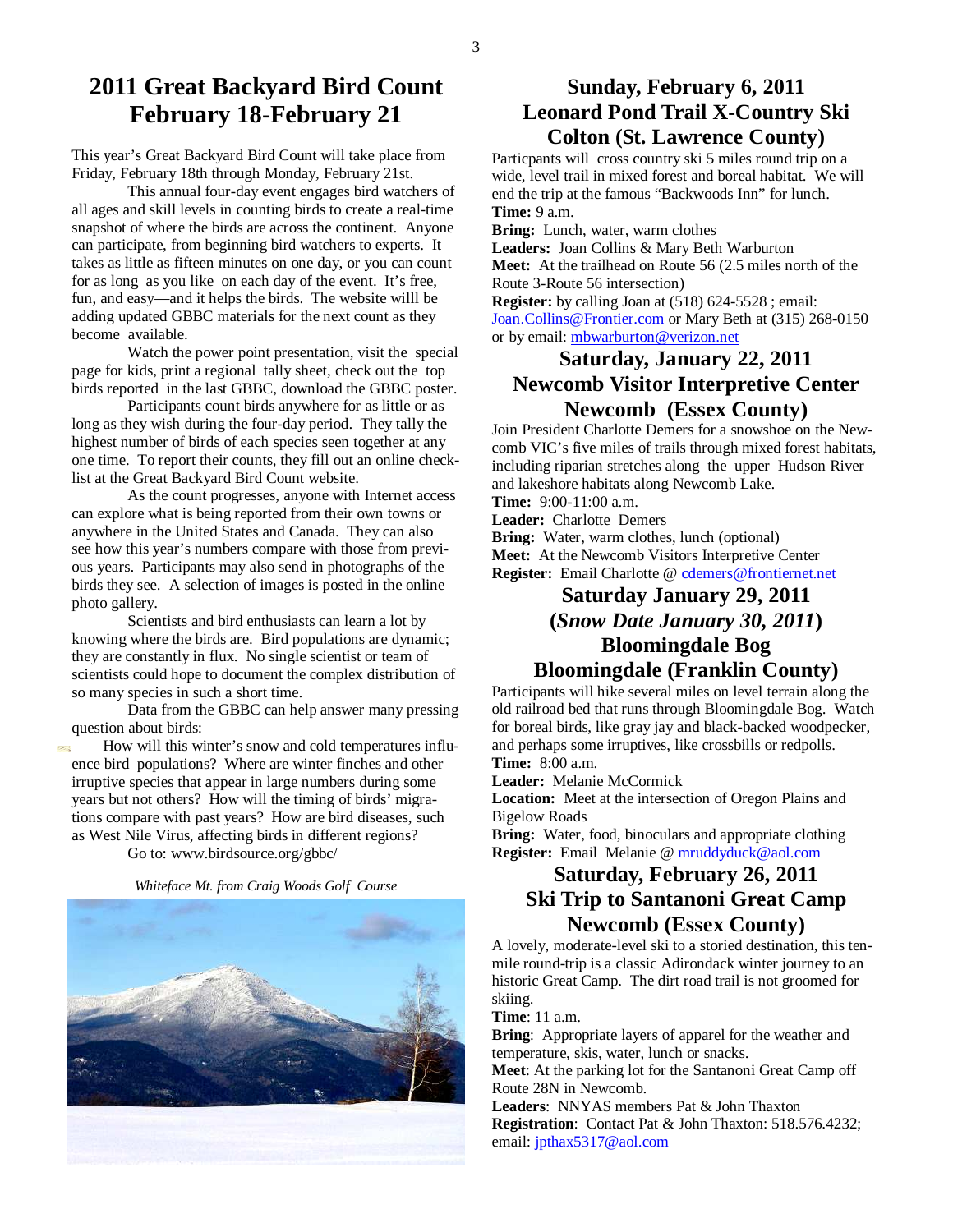## **2011 Great Backyard Bird Count February 18-February 21**

This year's Great Backyard Bird Count will take place from Friday, February 18th through Monday, February 21st.

 This annual four-day event engages bird watchers of all ages and skill levels in counting birds to create a real-time snapshot of where the birds are across the continent. Anyone can participate, from beginning bird watchers to experts. It takes as little as fifteen minutes on one day, or you can count for as long as you like on each day of the event. It's free, fun, and easy—and it helps the birds. The website willl be adding updated GBBC materials for the next count as they become available.

 Watch the power point presentation, visit the special page for kids, print a regional tally sheet, check out the top birds reported in the last GBBC, download the GBBC poster.

 Participants count birds anywhere for as little or as long as they wish during the four-day period. They tally the highest number of birds of each species seen together at any one time. To report their counts, they fill out an online checklist at the Great Backyard Bird Count website.

 As the count progresses, anyone with Internet access can explore what is being reported from their own towns or anywhere in the United States and Canada. They can also see how this year's numbers compare with those from previous years. Participants may also send in photographs of the birds they see. A selection of images is posted in the online photo gallery.

Scientists and bird enthusiasts can learn a lot by knowing where the birds are. Bird populations are dynamic; they are constantly in flux. No single scientist or team of scientists could hope to document the complex distribution of so many species in such a short time.

Data from the GBBC can help answer many pressing

ence bird populations? Where are winter finches and other irruptive species that appear in large numbers during some years but not others? How will the timing of birds' migrations compare with past years? How are bird diseases, such as West Nile Virus, affecting birds in different regions?





## **Sunday, February 6, 2011 Leonard Pond Trail X-Country Ski Colton (St. Lawrence County)**

Particpants will cross country ski 5 miles round trip on a wide, level trail in mixed forest and boreal habitat. We will end the trip at the famous "Backwoods Inn" for lunch. **Time:** 9 a.m.

**Bring:** Lunch, water, warm clothes

**Leaders:** Joan Collins & Mary Beth Warburton

**Meet:** At the trailhead on Route 56 (2.5 miles north of the Route 3-Route 56 intersection)

**Register:** by calling Joan at (518) 624-5528 ; email: Joan.Collins@Frontier.com or Mary Beth at (315) 268-0150 or by email: mbwarburton@verizon.net

## **Saturday, January 22, 2011 Newcomb Visitor Interpretive Center Newcomb (Essex County)**

Join President Charlotte Demers for a snowshoe on the Newcomb VIC's five miles of trails through mixed forest habitats, including riparian stretches along the upper Hudson River and lakeshore habitats along Newcomb Lake.

**Time:** 9:00-11:00 a.m.

**Leader:** Charlotte Demers

**Bring:** Water, warm clothes, lunch (optional) **Meet:** At the Newcomb Visitors Interpretive Center **Register:** Email Charlotte @ cdemers@frontiernet.net

## **Saturday January 29, 2011 (***Snow Date January 30, 2011***) Bloomingdale Bog Bloomingdale (Franklin County)**

Participants will hike several miles on level terrain along the old railroad bed that runs through Bloomingdale Bog. Watch for boreal birds, like gray jay and black-backed woodpecker, and perhaps some irruptives, like crossbills or redpolls. **Time:** 8:00 a.m.

**Leader:** Melanie McCormick

**Location:** Meet at the intersection of Oregon Plains and Bigelow Roads

**Bring:** Water, food, binoculars and appropriate clothing **Register:** Email Melanie @ mruddyduck@aol.com

## **Saturday, February 26, 2011 Ski Trip to Santanoni Great Camp Newcomb (Essex County)**

A lovely, moderate-level ski to a storied destination, this tenmile round-trip is a classic Adirondack winter journey to an historic Great Camp. The dirt road trail is not groomed for skiing.

**Time**: 11 a.m.

**Bring**: Appropriate layers of apparel for the weather and temperature, skis, water, lunch or snacks.

**Meet**: At the parking lot for the Santanoni Great Camp off Route 28N in Newcomb.

**Leaders**: NNYAS members Pat & John Thaxton **Registration**: Contact Pat & John Thaxton: 518.576.4232; email: jpthax5317@aol.com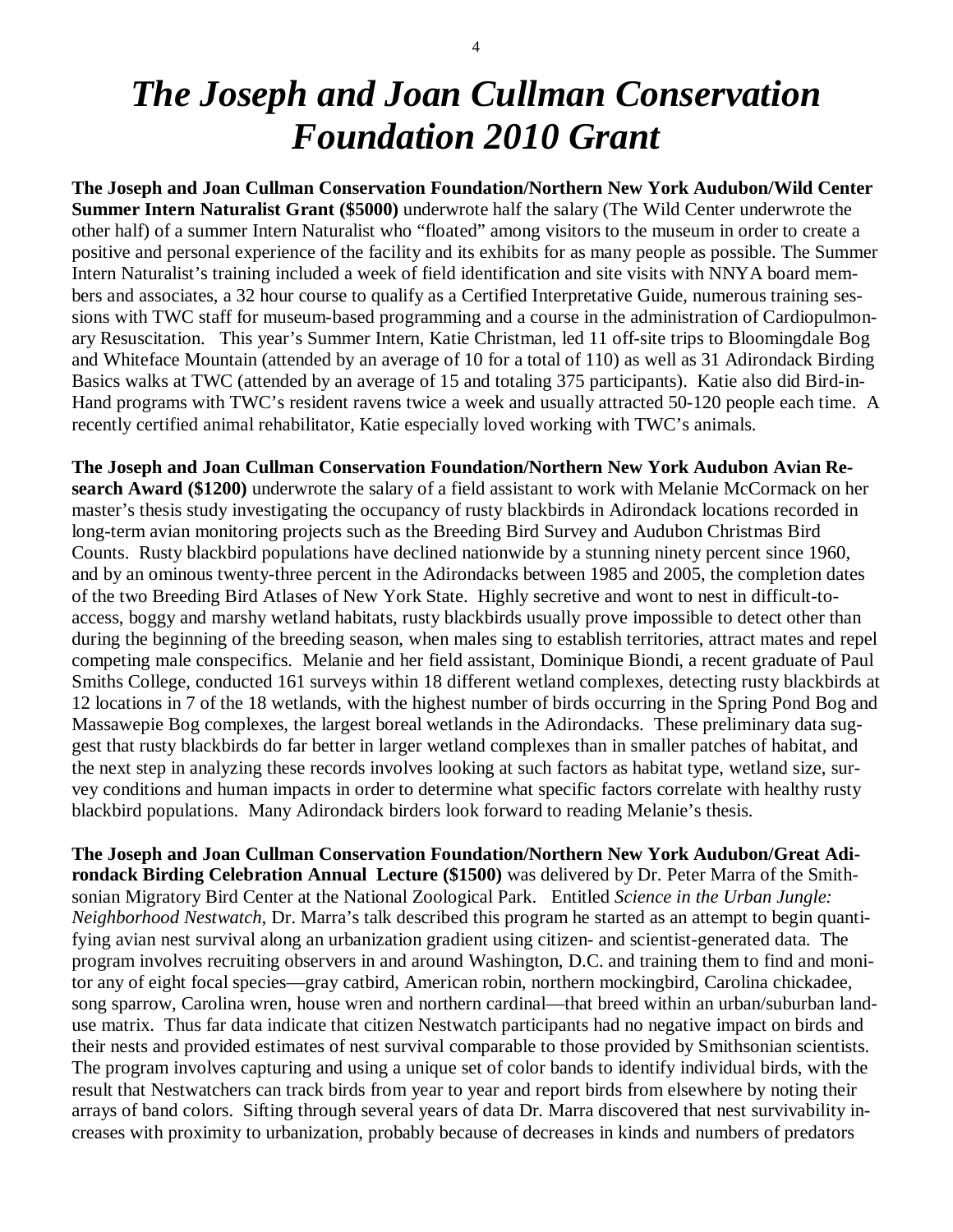# *The Joseph and Joan Cullman Conservation Foundation 2010 Grant*

**The Joseph and Joan Cullman Conservation Foundation/Northern New York Audubon/Wild Center Summer Intern Naturalist Grant (\$5000)** underwrote half the salary (The Wild Center underwrote the other half) of a summer Intern Naturalist who "floated" among visitors to the museum in order to create a positive and personal experience of the facility and its exhibits for as many people as possible. The Summer Intern Naturalist's training included a week of field identification and site visits with NNYA board members and associates, a 32 hour course to qualify as a Certified Interpretative Guide, numerous training sessions with TWC staff for museum-based programming and a course in the administration of Cardiopulmonary Resuscitation. This year's Summer Intern, Katie Christman, led 11 off-site trips to Bloomingdale Bog and Whiteface Mountain (attended by an average of 10 for a total of 110) as well as 31 Adirondack Birding Basics walks at TWC (attended by an average of 15 and totaling 375 participants). Katie also did Bird-in-Hand programs with TWC's resident ravens twice a week and usually attracted 50-120 people each time. A recently certified animal rehabilitator, Katie especially loved working with TWC's animals.

**The Joseph and Joan Cullman Conservation Foundation/Northern New York Audubon Avian Research Award (\$1200)** underwrote the salary of a field assistant to work with Melanie McCormack on her master's thesis study investigating the occupancy of rusty blackbirds in Adirondack locations recorded in long-term avian monitoring projects such as the Breeding Bird Survey and Audubon Christmas Bird Counts. Rusty blackbird populations have declined nationwide by a stunning ninety percent since 1960, and by an ominous twenty-three percent in the Adirondacks between 1985 and 2005, the completion dates of the two Breeding Bird Atlases of New York State. Highly secretive and wont to nest in difficult-toaccess, boggy and marshy wetland habitats, rusty blackbirds usually prove impossible to detect other than during the beginning of the breeding season, when males sing to establish territories, attract mates and repel competing male conspecifics. Melanie and her field assistant, Dominique Biondi, a recent graduate of Paul Smiths College, conducted 161 surveys within 18 different wetland complexes, detecting rusty blackbirds at 12 locations in 7 of the 18 wetlands, with the highest number of birds occurring in the Spring Pond Bog and Massawepie Bog complexes, the largest boreal wetlands in the Adirondacks. These preliminary data suggest that rusty blackbirds do far better in larger wetland complexes than in smaller patches of habitat, and the next step in analyzing these records involves looking at such factors as habitat type, wetland size, survey conditions and human impacts in order to determine what specific factors correlate with healthy rusty blackbird populations. Many Adirondack birders look forward to reading Melanie's thesis.

**The Joseph and Joan Cullman Conservation Foundation/Northern New York Audubon/Great Adirondack Birding Celebration Annual Lecture (\$1500)** was delivered by Dr. Peter Marra of the Smithsonian Migratory Bird Center at the National Zoological Park. Entitled *Science in the Urban Jungle: Neighborhood Nestwatch*, Dr. Marra's talk described this program he started as an attempt to begin quantifying avian nest survival along an urbanization gradient using citizen- and scientist-generated data. The program involves recruiting observers in and around Washington, D.C. and training them to find and monitor any of eight focal species—gray catbird, American robin, northern mockingbird, Carolina chickadee, song sparrow, Carolina wren, house wren and northern cardinal—that breed within an urban/suburban landuse matrix. Thus far data indicate that citizen Nestwatch participants had no negative impact on birds and their nests and provided estimates of nest survival comparable to those provided by Smithsonian scientists. The program involves capturing and using a unique set of color bands to identify individual birds, with the result that Nestwatchers can track birds from year to year and report birds from elsewhere by noting their arrays of band colors. Sifting through several years of data Dr. Marra discovered that nest survivability increases with proximity to urbanization, probably because of decreases in kinds and numbers of predators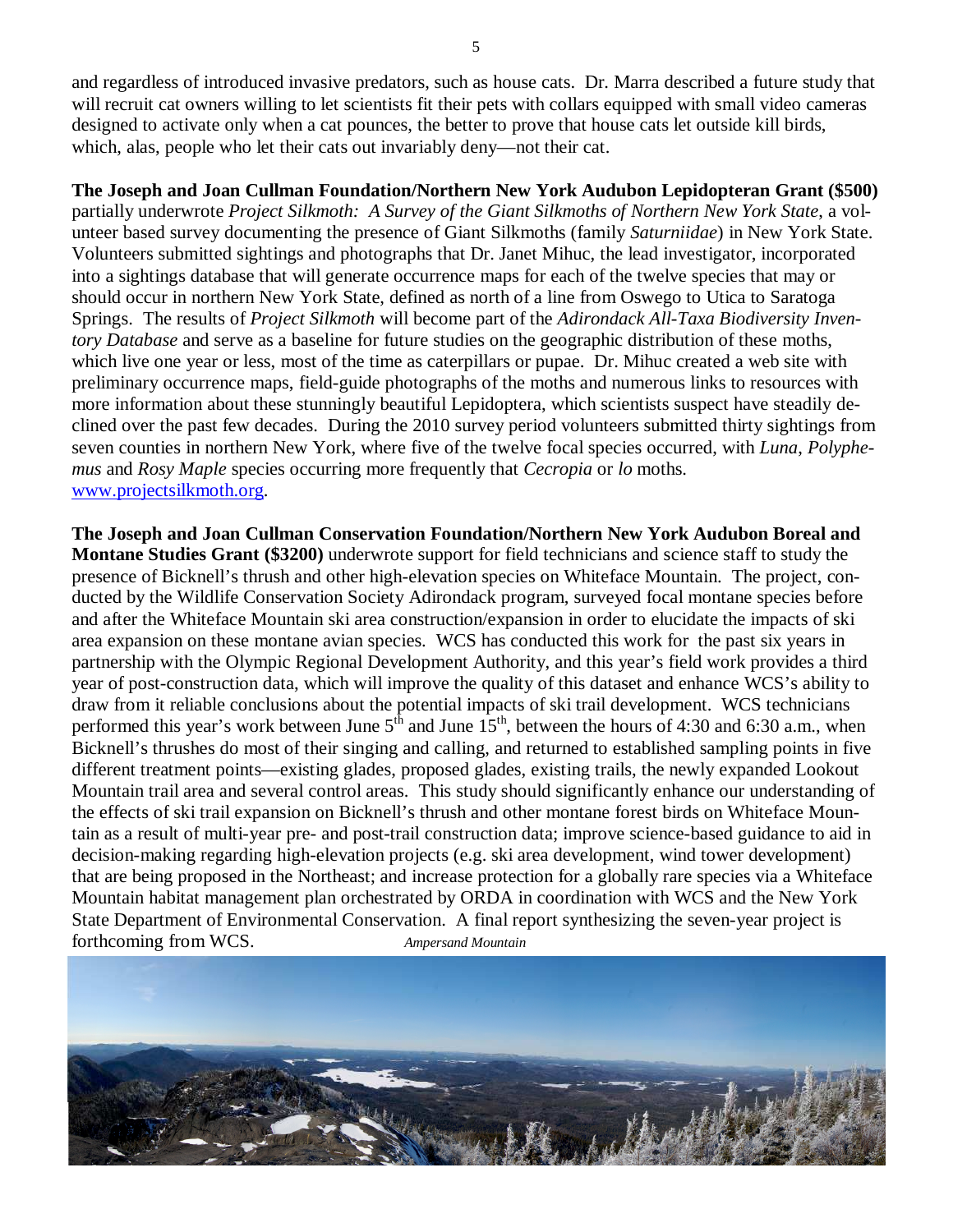and regardless of introduced invasive predators, such as house cats. Dr. Marra described a future study that will recruit cat owners willing to let scientists fit their pets with collars equipped with small video cameras designed to activate only when a cat pounces, the better to prove that house cats let outside kill birds, which, alas, people who let their cats out invariably deny—not their cat.

### **The Joseph and Joan Cullman Foundation/Northern New York Audubon Lepidopteran Grant (\$500)**

partially underwrote *Project Silkmoth: A Survey of the Giant Silkmoths of Northern New York State*, a volunteer based survey documenting the presence of Giant Silkmoths (family *Saturniidae*) in New York State. Volunteers submitted sightings and photographs that Dr. Janet Mihuc, the lead investigator, incorporated into a sightings database that will generate occurrence maps for each of the twelve species that may or should occur in northern New York State, defined as north of a line from Oswego to Utica to Saratoga Springs. The results of *Project Silkmoth* will become part of the *Adirondack All-Taxa Biodiversity Inventory Database* and serve as a baseline for future studies on the geographic distribution of these moths, which live one year or less, most of the time as caterpillars or pupae. Dr. Mihuc created a web site with preliminary occurrence maps, field-guide photographs of the moths and numerous links to resources with more information about these stunningly beautiful Lepidoptera, which scientists suspect have steadily declined over the past few decades. During the 2010 survey period volunteers submitted thirty sightings from seven counties in northern New York, where five of the twelve focal species occurred, with *Luna*, *Polyphemus* and *Rosy Maple* species occurring more frequently that *Cecropia* or *lo* moths. www.projectsilkmoth.org.

**The Joseph and Joan Cullman Conservation Foundation/Northern New York Audubon Boreal and Montane Studies Grant (\$3200)** underwrote support for field technicians and science staff to study the presence of Bicknell's thrush and other high-elevation species on Whiteface Mountain. The project, conducted by the Wildlife Conservation Society Adirondack program, surveyed focal montane species before and after the Whiteface Mountain ski area construction/expansion in order to elucidate the impacts of ski area expansion on these montane avian species. WCS has conducted this work for the past six years in partnership with the Olympic Regional Development Authority, and this year's field work provides a third year of post-construction data, which will improve the quality of this dataset and enhance WCS's ability to draw from it reliable conclusions about the potential impacts of ski trail development. WCS technicians performed this year's work between June  $5<sup>th</sup>$  and June  $15<sup>th</sup>$ , between the hours of 4:30 and 6:30 a.m., when Bicknell's thrushes do most of their singing and calling, and returned to established sampling points in five different treatment points—existing glades, proposed glades, existing trails, the newly expanded Lookout Mountain trail area and several control areas. This study should significantly enhance our understanding of the effects of ski trail expansion on Bicknell's thrush and other montane forest birds on Whiteface Mountain as a result of multi-year pre- and post-trail construction data; improve science-based guidance to aid in decision-making regarding high-elevation projects (e.g. ski area development, wind tower development) that are being proposed in the Northeast; and increase protection for a globally rare species via a Whiteface Mountain habitat management plan orchestrated by ORDA in coordination with WCS and the New York State Department of Environmental Conservation. A final report synthesizing the seven-year project is forthcoming from WCS. *Ampersand Mountain*

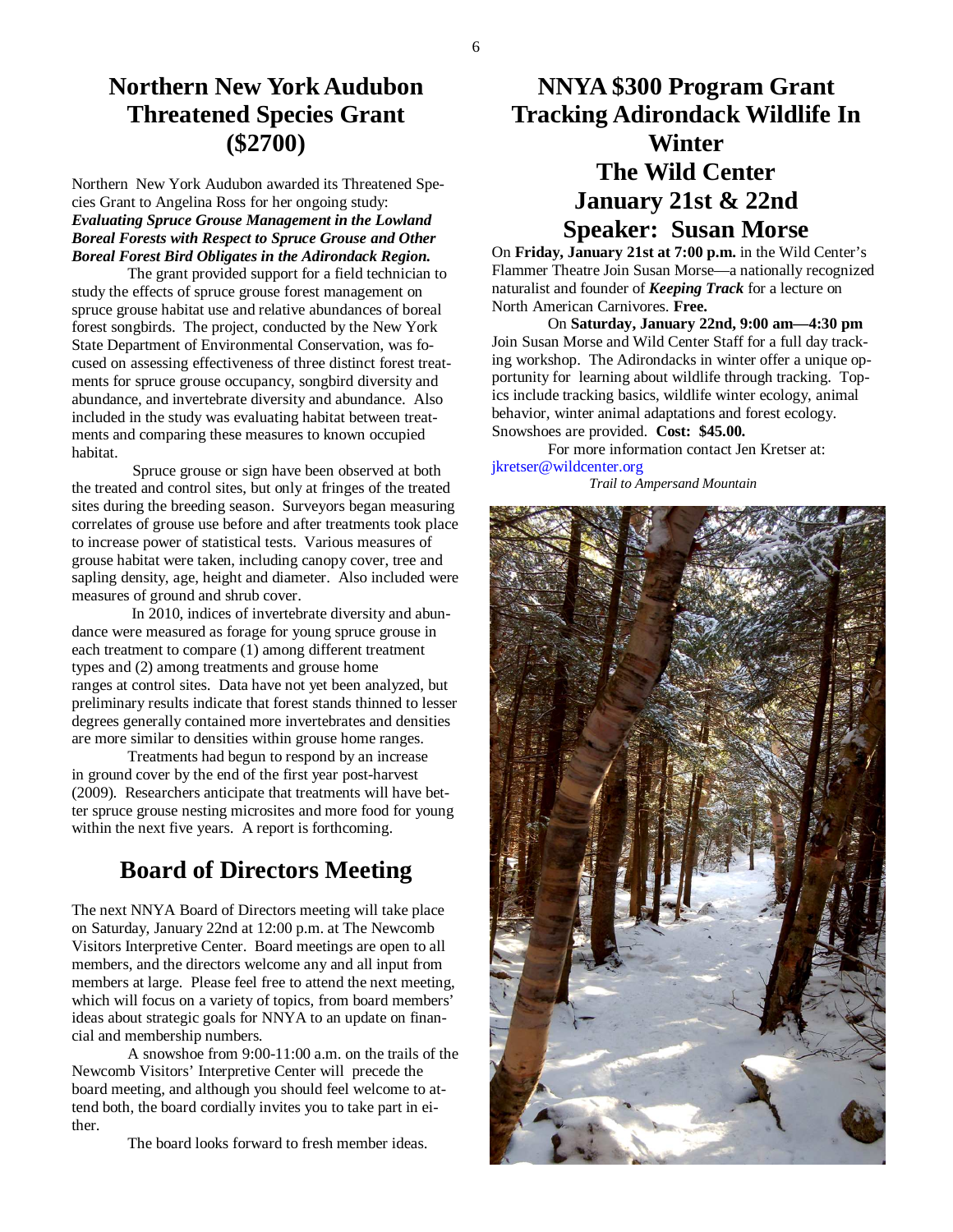## **Northern New York Audubon Threatened Species Grant (\$2700)**

Northern New York Audubon awarded its Threatened Species Grant to Angelina Ross for her ongoing study: *Evaluating Spruce Grouse Management in the Lowland Boreal Forests with Respect to Spruce Grouse and Other Boreal Forest Bird Obligates in the Adirondack Region.* 

The grant provided support for a field technician to study the effects of spruce grouse forest management on spruce grouse habitat use and relative abundances of boreal forest songbirds. The project, conducted by the New York State Department of Environmental Conservation, was focused on assessing effectiveness of three distinct forest treatments for spruce grouse occupancy, songbird diversity and abundance, and invertebrate diversity and abundance. Also included in the study was evaluating habitat between treatments and comparing these measures to known occupied habitat.

 Spruce grouse or sign have been observed at both the treated and control sites, but only at fringes of the treated sites during the breeding season. Surveyors began measuring correlates of grouse use before and after treatments took place to increase power of statistical tests. Various measures of grouse habitat were taken, including canopy cover, tree and sapling density, age, height and diameter. Also included were measures of ground and shrub cover.

 In 2010, indices of invertebrate diversity and abundance were measured as forage for young spruce grouse in each treatment to compare (1) among different treatment types and (2) among treatments and grouse home ranges at control sites. Data have not yet been analyzed, but preliminary results indicate that forest stands thinned to lesser degrees generally contained more invertebrates and densities are more similar to densities within grouse home ranges.

 Treatments had begun to respond by an increase in ground cover by the end of the first year post-harvest (2009). Researchers anticipate that treatments will have better spruce grouse nesting microsites and more food for young within the next five years. A report is forthcoming.

## **Board of Directors Meeting**

The next NNYA Board of Directors meeting will take place on Saturday, January 22nd at 12:00 p.m. at The Newcomb Visitors Interpretive Center. Board meetings are open to all members, and the directors welcome any and all input from members at large. Please feel free to attend the next meeting, which will focus on a variety of topics, from board members' ideas about strategic goals for NNYA to an update on financial and membership numbers.

 A snowshoe from 9:00-11:00 a.m. on the trails of the Newcomb Visitors' Interpretive Center will precede the board meeting, and although you should feel welcome to attend both, the board cordially invites you to take part in either.

The board looks forward to fresh member ideas.

# **NNYA \$300 Program Grant Tracking Adirondack Wildlife In Winter The Wild Center January 21st & 22nd Speaker: Susan Morse**

On **Friday, January 21st at 7:00 p.m.** in the Wild Center's Flammer Theatre Join Susan Morse—a nationally recognized naturalist and founder of *Keeping Track* for a lecture on North American Carnivores. **Free.**

 On **Saturday, January 22nd, 9:00 am—4:30 pm** Join Susan Morse and Wild Center Staff for a full day tracking workshop. The Adirondacks in winter offer a unique opportunity for learning about wildlife through tracking. Topics include tracking basics, wildlife winter ecology, animal behavior, winter animal adaptations and forest ecology. Snowshoes are provided. **Cost: \$45.00.** 

For more information contact Jen Kretser at: jkretser@wildcenter.org

*Trail to Ampersand Mountain*

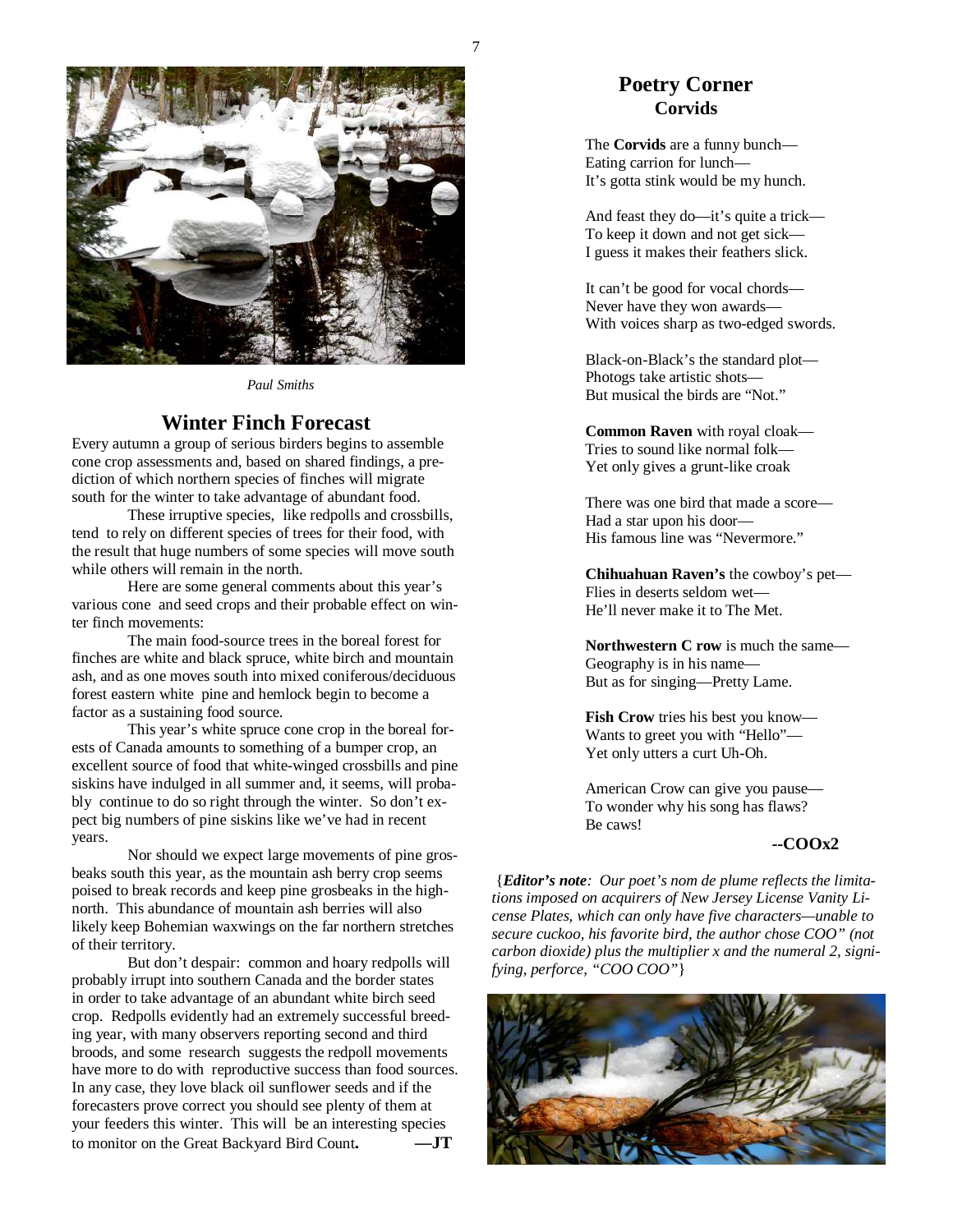

*Paul Smiths* 

#### **Winter Finch Forecast**

Every autumn a group of serious birders begins to assemble cone crop assessments and, based on shared findings, a prediction of which northern species of finches will migrate south for the winter to take advantage of abundant food.

 These irruptive species, like redpolls and crossbills, tend to rely on different species of trees for their food, with the result that huge numbers of some species will move south while others will remain in the north.

 Here are some general comments about this year's various cone and seed crops and their probable effect on winter finch movements:

 The main food-source trees in the boreal forest for finches are white and black spruce, white birch and mountain ash, and as one moves south into mixed coniferous/deciduous forest eastern white pine and hemlock begin to become a factor as a sustaining food source.

 This year's white spruce cone crop in the boreal forests of Canada amounts to something of a bumper crop, an excellent source of food that white-winged crossbills and pine siskins have indulged in all summer and, it seems, will probably continue to do so right through the winter. So don't expect big numbers of pine siskins like we've had in recent years.

 Nor should we expect large movements of pine grosbeaks south this year, as the mountain ash berry crop seems poised to break records and keep pine grosbeaks in the highnorth. This abundance of mountain ash berries will also likely keep Bohemian waxwings on the far northern stretches of their territory.

 But don't despair: common and hoary redpolls will probably irrupt into southern Canada and the border states in order to take advantage of an abundant white birch seed crop. Redpolls evidently had an extremely successful breeding year, with many observers reporting second and third broods, and some research suggests the redpoll movements have more to do with reproductive success than food sources. In any case, they love black oil sunflower seeds and if the forecasters prove correct you should see plenty of them at your feeders this winter. This will be an interesting species to monitor on the Great Backyard Bird Count**. —JT**

### **Poetry Corner Corvids**

 The **Corvids** are a funny bunch— Eating carrion for lunch— It's gotta stink would be my hunch.

 And feast they do—it's quite a trick— To keep it down and not get sick— I guess it makes their feathers slick.

 It can't be good for vocal chords— Never have they won awards— With voices sharp as two-edged swords.

 Black-on-Black's the standard plot— Photogs take artistic shots— But musical the birds are "Not."

 **Common Raven** with royal cloak— Tries to sound like normal folk— Yet only gives a grunt-like croak

 There was one bird that made a score— Had a star upon his door— His famous line was "Nevermore."

 **Chihuahuan Raven's** the cowboy's pet— Flies in deserts seldom wet— He'll never make it to The Met.

**Northwestern C row** is much the same— Geography is in his name— But as for singing—Pretty Lame.

**Fish Crow** tries his best you know— Wants to greet you with "Hello"— Yet only utters a curt Uh-Oh.

 American Crow can give you pause— To wonder why his song has flaws? Be caws!

#### **--COOx2**

 {*Editor's note: Our poet's nom de plume reflects the limitations imposed on acquirers of New Jersey License Vanity License Plates, which can only have five characters—unable to secure cuckoo, his favorite bird, the author chose COO" (not carbon dioxide) plus the multiplier x and the numeral 2, signifying, perforce, "COO COO"*}